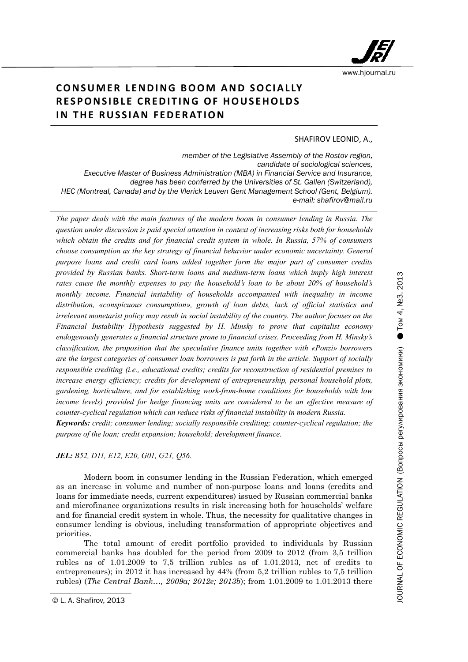

## **CONSUMER LENDING BOOM AND SOCIALLY RESPONSIBLE CREDITING OF HOUSEHOLDS IN THE RUSSIAN FEDERATION**

## SHAFIROV LEONID, A.,

*member of the Legislative Assembly of the Rostov region, candidate of sociological sciences, Executive Master of Business Administration (MBA) in Financial Service and Insurance, degree has been conferred by the Universities of St. Gallen (Switzerland), HEC (Montreal, Canada) and by the Vlerick Leuven Gent Management School (Gent, Belgium). e-mail: shafirov@mail.ru* 

*The paper deals with the main features of the modern boom in consumer lending in Russia. The question under discussion is paid special attention in context of increasing risks both for households which obtain the credits and for financial credit system in whole. In Russia, 57% of consumers choose consumption as the key strategy of financial behavior under economic uncertainty. General purpose loans and credit card loans added together form the major part of consumer credits provided by Russian banks. Short-term loans and medium-term loans which imply high interest rates cause the monthly expenses to pay the household's loan to be about 20% of household's monthly income. Financial instability of households accompanied with inequality in income distribution, «conspicuous consumption», growth of loan debts, lack of official statistics and irrelevant monetarist policy may result in social instability of the country. The author focuses on the Financial Instability Hypothesis suggested by H. Minsky to prove that capitalist economy endogenously generates a financial structure prone to financial crises. Proceeding from H. Minsky's classification, the proposition that the speculative finance units together with «Ponzi» borrowers are the largest categories of consumer loan borrowers is put forth in the article. Support of socially responsible crediting (i.e., educational credits; credits for reconstruction of residential premises to increase energy efficiency; credits for development of entrepreneurship, personal household plots, gardening, horticulture, and for establishing work-from-home conditions for households with low*  income levels) provided for hedge financing units are considered to be an effective measure of *counter-cyclical regulation which can reduce risks of financial instability in modern Russia.* 

*Keywords: credit; consumer lending; socially responsible crediting; counter-cyclical regulation; the purpose of the loan; credit expansion; household; development finance.* 

*JEL: B52, D11, E12, E20, G01, G21, Q56.* 

Modern boom in consumer lending in the Russian Federation, which emerged as an increase in volume and number of non-purpose loans and loans (credits and loans for immediate needs, current expenditures) issued by Russian commercial banks and microfinance organizations results in risk increasing both for households' welfare and for financial credit system in whole. Thus, the necessity for qualitative changes in consumer lending is obvious, including transformation of appropriate objectives and priorities.

The total amount of credit portfolio provided to individuals by Russian commercial banks has doubled for the period from 2009 to 2012 (from 3,5 trillion rubles as of 1.01.2009 to 7,5 trillion rubles as of 1.01.2013, net of credits to entrepreneurs); in 2012 it has increased by 44% (from 5,2 trillion rubles to 7,5 trillion rubles) (*The Central Bank…, 2009a; 2012e; 2013b*); from 1.01.2009 to 1.01.2013 there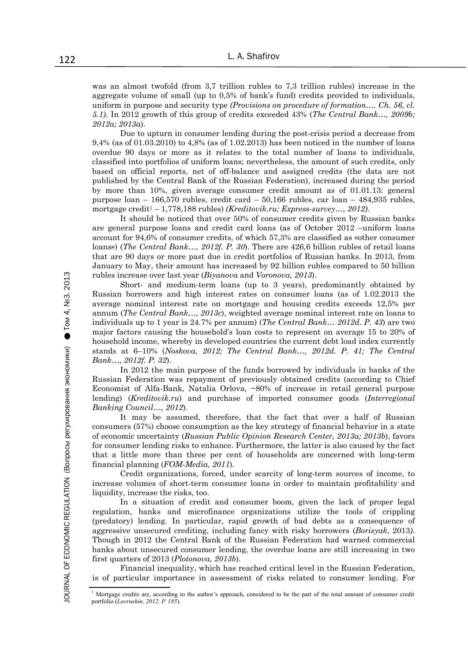was an almost twofold (from 3,7 trillion rubles to 7,3 trillion rubles) increase in the aggregate volume of small (up to 0,5% of bank's fund) credits provided to individuals, uniform in purpose and security type *(Provisions on procedure of formation…. Ch. 56, cl. 5.1)*. In 2012 growth of this group of credits exceeded 43% (*The Central Bank…, 2009b; 2012a; 2013a*).

Due to upturn in consumer lending during the post-crisis period a decrease from 9,4% (as of 01.03.2010) to 4,8% (as of 1.02.2013) has been noticed in the number of loans overdue 90 days or more as it relates to the total number of loans to individuals, classified into portfolios of uniform loans; nevertheless, the amount of such credits, only based on official reports, net of off-balance and assigned credits (the data are not published by the Central Bank of the Russian Federation), increased during the period by more than 10%, given average consumer credit amount as of 01.01.13: general purpose loan – 166,570 rubles, credit card – 50,166 rubles, car loan – 484,935 rubles, mortgage credit<sup>1</sup> – 1,778,188 rubles) *(Kreditovik.ru; Express-survey..., 2012)*.

It should be noticed that over 50% of consumer credits given by Russian banks are general purpose loans and credit card loans (as of October 2012 –uniform loans account for 94,6% of consumer credits, of which 57,3% are classified as «other consumer loans») (*The Central Bank…, 2012f. P. 30*). There are 426,6 billion rubles of retail loans that are 90 days or more past due in credit portfolios of Russian banks. In 2013, from January to May, their amount has increased by 92 billion rubles compared to 50 billion rubles increase over last year (*Biyanova* and *Voronova, 2013*).

Short- and medium-term loans (up to 3 years), predominantly obtained by Russian borrowers and high interest rates on consumer loans (as of 1.02.2013 the average nominal interest rate on mortgage and housing credits exceeds 12,5% per annum (*The Central Bank…, 2013c*), weighted average nominal interest rate on loans to individuals up to 1 year is 24.7% per annum) (*The Central Bank… 2012d. P. 43*) are two major factors causing the household's loan costs to represent on average 15 to 20% of household income, whereby in developed countries the current debt load index currently stands at 6–10% (*Noskova, 2012; The Central Bank…, 2012d. P. 41; The Central Bank…, 2012f. P. 32*).

In 2012 the main purpose of the funds borrowed by individuals in banks of the Russian Federation was repayment of previously obtained credits (according to Chief Economist of Alfa-Bank, Natalia Orlova, ~80% of increase in retail general purpose lending) (*Kreditovik.ru*) and purchase of imported consumer goods (*Interregional Banking Council…, 2012*).

It may be assumed, therefore, that the fact that over a half of Russian consumers (57%) choose consumption as the key strategy of financial behavior in a state of economic uncertainty (*Russian Public Opinion Research Center, 2013a; 2013b*), favors for consumer lending risks to enhance. Furthermore, the latter is also caused by the fact that a little more than three per cent of households are concerned with long-term financial planning (*FOM-Media, 2011*)*.*

Credit organizations, forced, under scarcity of long-term sources of income, to increase volumes of short-term consumer loans in order to maintain profitability and liquidity, increase the risks, too.

In a situation of credit and consumer boom, given the lack of proper legal regulation, banks and microfinance organizations utilize the tools of crippling (predatory) lending. In particular, rapid growth of bad debts as a consequence of aggressive unsecured crediting, including fancy with risky borrowers (*Borisyak,* 2013*)*. Though in 2012 the Central Bank of the Russian Federation had warned commercial banks about unsecured consumer lending, the overdue loans are still increasing in two first quarters of 2013 (*Plotonova, 2013b*)*.*

Financial inequality, which has reached critical level in the Russian Federation, is of particular importance in assessment of risks related to consumer lending. For

<sup>1</sup> Mortgage credits are, according to the author's approach, considered to be the part of the total amount of consumer credit portfolio (*Lavrushin, 2012. P. 185*).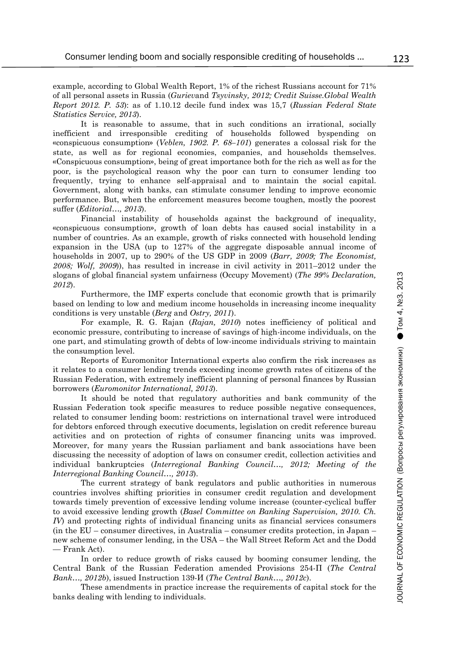example, according to Global Wealth Report, 1% of the richest Russians account for 71% of all personal assets in Russia (*Guriev*and *Tsyvinsky, 2012; Credit Suisse.Global Wealth Report 2012. P. 53*): as of 1.10.12 decile fund index was 15,7 (*Russian Federal State Statistics Service, 2013*).

It is reasonable to assume, that in such conditions an irrational, socially inefficient and irresponsible crediting of households followed byspending on «conspicuous consumption» (*Veblen, 1902. P. 68–101*) generates a colossal risk for the state, as well as for regional economies, companies, and households themselves. «Conspicuous consumption», being of great importance both for the rich as well as for the poor, is the psychological reason why the poor can turn to consumer lending too frequently, trying to enhance self-appraisal and to maintain the social capital. Government, along with banks, can stimulate consumer lending to improve economic performance. But, when the enforcement measures become toughen, mostly the poorest suffer (*Editorial…, 2013*).

Financial instability of households against the background of inequality, «conspicuous consumption», growth of loan debts has caused social instability in a number of countries. As an example, growth of risks connected with household lending expansion in the USA (up to 127% of the aggregate disposable annual income of households in 2007, up to 290% of the US GDP in 2009 (*Barr, 2009; The Economist, 2008; Wolf, 2009*)), has resulted in increase in civil activity in 2011–2012 under the slogans of global financial system unfairness (Occupy Movement) (*The 99% Declaration, 2012*).

Furthermore, the IMF experts conclude that economic growth that is primarily based on lending to low and medium income households in increasing income inequality conditions is very unstable (*Berg* and *Ostry, 2011*).

For example, R. G. Rajan (*Rajan, 2010*) notes inefficiency of political and economic pressure, contributing to increase of savings of high-income individuals, on the one part, and stimulating growth of debts of low-income individuals striving to maintain the consumption level.

Reports of Euromonitor International experts also confirm the risk increases as it relates to a consumer lending trends exceeding income growth rates of citizens of the Russian Federation, with extremely inefficient planning of personal finances by Russian borrowers (*Euromonitor International, 2013*).

It should be noted that regulatory authorities and bank community of the Russian Federation took specific measures to reduce possible negative consequences, related to consumer lending boom: restrictions on international travel were introduced for debtors enforced through executive documents, legislation on credit reference bureau activities and on protection of rights of consumer financing units was improved. Moreover, for many years the Russian parliament and bank associations have been discussing the necessity of adoption of laws on consumer credit, collection activities and individual bankruptcies (*Interregional Banking Council…, 2012; Meeting of the Interregional Banking Council…, 2013*).

The current strategy of bank regulators and public authorities in numerous countries involves shifting priorities in consumer credit regulation and development towards timely prevention of excessive lending volume increase (counter-cyclical buffer to avoid excessive lending growth (*Basel Committee on Banking Supervision, 2010. Ch. IV*) and protecting rights of individual financing units as financial services consumers (in the EU – consumer directives, in Australia – consumer credits protection, in Japan – new scheme of consumer lending, in the USA – the Wall Street Reform Act and the Dodd — Frank Act).

In order to reduce growth of risks caused by booming consumer lending, the Central Bank of the Russian Federation amended Provisions 254-П (*The Central Bank…, 2012b*), issued Instruction 139-И (*The Central Bank…, 2012c*).

These amendments in practice increase the requirements of capital stock for the banks dealing with lending to individuals.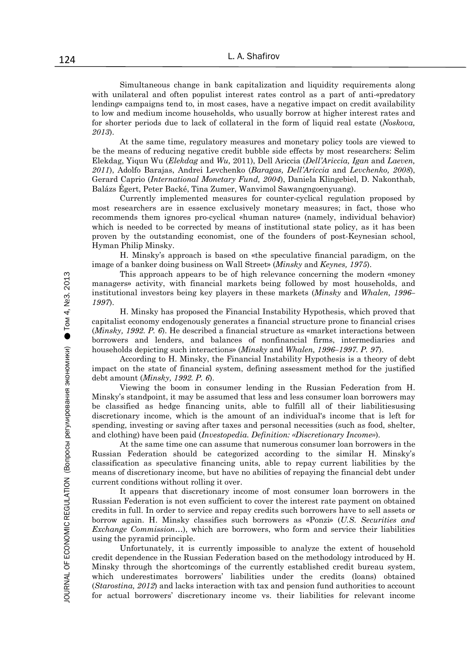Simultaneous change in bank capitalization and liquidity requirements along with unilateral and often populist interest rates control as a part of anti-«predatory lending» campaigns tend to, in most cases, have a negative impact on credit availability to low and medium income households, who usually borrow at higher interest rates and for shorter periods due to lack of collateral in the form of liquid real estate (*Noskova, 2013*).

At the same time, regulatory measures and monetary policy tools are viewed to be the means of reducing negative credit bubble side effects by most researchers: Selim Elekdag, Yiqun Wu (*Elekdag* and *Wu,* 2011), Dell Ariccia (*Dell'Ariccia, Igan* and *Laeven, 2011*), Adolfo Barajas, Andrei Levchenko (*Baragas, Dell'Ariccia* and *Levchenko, 2008*), Gerard Caprio (*International Monetary Fund, 2004*), Daniela Klingebiel, D. Nakonthab, Balázs Égert, Peter Backé, Tina Zumer, Wanvimol Sawangngoenyuang).

Currently implemented measures for counter-cyclical regulation proposed by most researchers are in essence exclusively monetary measures; in fact, those who recommends them ignores pro-cyclical «human nature» (namely, individual behavior) which is needed to be corrected by means of institutional state policy, as it has been proven by the outstanding economist, one of the founders of post-Keynesian school, Hyman Philip Minsky.

H. Minsky's approach is based on «the speculative financial paradigm, on the image of a banker doing business on Wall Street» (*Minsky* and *Keynes, 1975*).

This approach appears to be of high relevance concerning the modern «money managers» activity, with financial markets being followed by most households, and institutional investors being key players in these markets (*Minsky* and *Whalen, 1996– 1997*).

H. Minsky has proposed the Financial Instability Hypothesis, which proved that capitalist economy endogenously generates a financial structure prone to financial crises (*Minsky, 1992. P. 6*). He described a financial structure as «market interactions between borrowers and lenders, and balances of nonfinancial firms, intermediaries and households depicting such interactions» (*Minsky* and *Whalen, 1996–1997. P. 97*).

According to H. Minsky, the Financial Instability Hypothesis is a theory of debt impact on the state of financial system, defining assessment method for the justified debt amount (*Minsky, 1992. P. 6*).

Viewing the boom in consumer lending in the Russian Federation from H. Minsky's standpoint, it may be assumed that less and less consumer loan borrowers may be classified as hedge financing units, able to fulfill all of their liabilitiesusing discretionary income, which is the amount of an individual's income that is left for spending, investing or saving after taxes and personal necessities (such as food, shelter, and clothing) have been paid (*Investopedia. Definition: «Discretionary Income»*).

At the same time one can assume that numerous consumer loan borrowers in the Russian Federation should be categorized according to the similar H. Minsky's classification as speculative financing units, able to repay current liabilities by the means of discretionary income, but have no abilities of repaying the financial debt under current conditions without rolling it over.

It appears that discretionary income of most consumer loan borrowers in the Russian Federation is not even sufficient to cover the interest rate payment on obtained credits in full. In order to service and repay credits such borrowers have to sell assets or borrow again. H. Minsky classifies such borrowers as «Ponzi» (*U.S. Securities and Exchange Commission…*), which are borrowers, who form and service their liabilities using the pyramid principle.

Unfortunately, it is currently impossible to analyze the extent of household credit dependence in the Russian Federation based on the methodology introduced by H. Minsky through the shortcomings of the currently established credit bureau system, which underestimates borrowers' liabilities under the credits (loans) obtained (*Starostina, 2012*) and lacks interaction with tax and pension fund authorities to account for actual borrowers' discretionary income vs. their liabilities for relevant income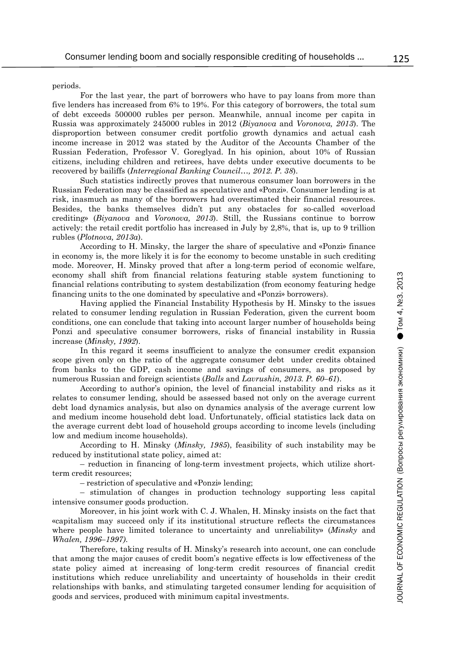periods.

For the last year, the part of borrowers who have to pay loans from more than five lenders has increased from 6% to 19%. For this category of borrowers, the total sum of debt exceeds 500000 rubles per person. Meanwhile, annual income per capita in Russia was approximately 245000 rubles in 2012 (*Biyanova* and *Voronova, 2013*). The disproportion between consumer credit portfolio growth dynamics and actual cash income increase in 2012 was stated by the Auditor of the Accounts Chamber of the Russian Federation, Professor V. Goreglyad. In his opinion, about 10% of Russian citizens, including children and retirees, have debts under executive documents to be recovered by bailiffs (*Interregional Banking Council…, 2012. P. 38*).

Such statistics indirectly proves that numerous consumer loan borrowers in the Russian Federation may be classified as speculative and «Ponzi». Consumer lending is at risk, inasmuch as many of the borrowers had overestimated their financial resources. Besides, the banks themselves didn't put any obstacles for so-called «overload crediting» (*Biyanova* and *Voronova, 2013*). Still, the Russians continue to borrow actively: the retail credit portfolio has increased in July by 2,8%, that is, up to 9 trillion rubles (*Plotnova, 2013a*).

According to H. Minsky, the larger the share of speculative and «Ponzi» finance in economy is, the more likely it is for the economy to become unstable in such crediting mode. Moreover, H. Minsky proved that after a long-term period of economic welfare, economy shall shift from financial relations featuring stable system functioning to financial relations contributing to system destabilization (from economy featuring hedge financing units to the one dominated by speculative and «Ponzi» borrowers).

Having applied the Financial Instability Hypothesis by H. Minsky to the issues related to consumer lending regulation in Russian Federation, given the current boom conditions, one can conclude that taking into account larger number of households being Ponzi and speculative consumer borrowers, risks of financial instability in Russia increase (*Minsky, 1992*).

In this regard it seems insufficient to analyze the consumer credit expansion scope given only on the ratio of the aggregate consumer debt under credits obtained from banks to the GDP, cash income and savings of consumers, as proposed by numerous Russian and foreign scientists (*Balls* and *Lavrushin, 2013. P. 60–61*).

According to author's opinion, the level of financial instability and risks as it relates to consumer lending, should be assessed based not only on the average current debt load dynamics analysis, but also on dynamics analysis of the average current low and medium income household debt load. Unfortunately, official statistics lack data on the average current debt load of household groups according to income levels (including low and medium income households).

According to H. Minsky (*Minsky, 1985*), feasibility of such instability may be reduced by institutional state policy, aimed at:

– reduction in financing of long-term investment projects, which utilize shortterm credit resources;

– restriction of speculative and «Ponzi» lending;

– stimulation of changes in production technology supporting less capital intensive consumer goods production.

Moreover, in his joint work with C. J. Whalen, H. Minsky insists on the fact that «capitalism may succeed only if its institutional structure reflects the circumstances where people have limited tolerance to uncertainty and unreliability» (*Minsky* and *Whalen, 1996–1997)*.

Therefore, taking results of H. Minsky's research into account, one can conclude that among the major causes of credit boom's negative effects is low effectiveness of the state policy aimed at increasing of long-term credit resources of financial credit institutions which reduce unreliability and uncertainty of households in their credit relationships with banks, and stimulating targeted consumer lending for acquisition of goods and services, produced with minimum capital investments.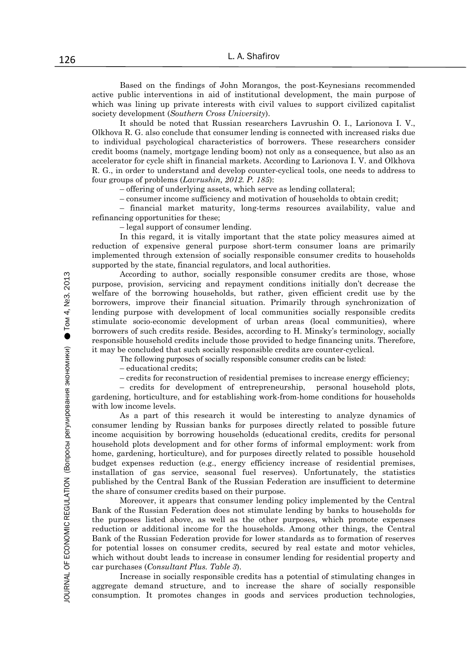Based on the findings of John Morangos, the post-Keynesians recommended active public interventions in aid of institutional development, the main purpose of which was lining up private interests with civil values to support civilized capitalist society development (*Southern Cross University*).

It should be noted that Russian researchers Lavrushin O. I., Larionova I. V., Olkhova R. G. also conclude that consumer lending is connected with increased risks due to individual psychological characteristics of borrowers. These researchers consider credit booms (namely, mortgage lending boom) not only as a consequence, but also as an accelerator for cycle shift in financial markets. According to Larionova I. V. and Olkhova R. G., in order to understand and develop counter-cyclical tools, one needs to address to four groups of problems (*Lavrushin, 2012. P. 185*):

– offering of underlying assets, which serve as lending collateral;

– consumer income sufficiency and motivation of households to obtain credit;

– financial market maturity, long-terms resources availability, value and refinancing opportunities for these;

– legal support of consumer lending.

In this regard, it is vitally important that the state policy measures aimed at reduction of expensive general purpose short-term consumer loans are primarily implemented through extension of socially responsible consumer credits to households supported by the state, financial regulators, and local authorities.

According to author, socially responsible consumer credits are those, whose purpose, provision, servicing and repayment conditions initially don't decrease the welfare of the borrowing households, but rather, given efficient credit use by the borrowers, improve their financial situation. Primarily through synchronization of lending purpose with development of local communities socially responsible credits stimulate socio-economic development of urban areas (local communities), where borrowers of such credits reside. Besides, according to H. Minsky's terminology, socially responsible household credits include those provided to hedge financing units. Therefore, it may be concluded that such socially responsible credits are counter-cyclical.

The following purposes of socially responsible consumer credits can be listed:

– educational credits;

– credits for reconstruction of residential premises to increase energy efficiency;

– credits for development of entrepreneurship, personal household plots, gardening, horticulture, and for establishing work-from-home conditions for households with low income levels.

As a part of this research it would be interesting to analyze dynamics of consumer lending by Russian banks for purposes directly related to possible future income acquisition by borrowing households (educational credits, credits for personal household plots development and for other forms of informal employment: work from home, gardening, horticulture), and for purposes directly related to possible household budget expenses reduction (e.g., energy efficiency increase of residential premises, installation of gas service, seasonal fuel reserves). Unfortunately, the statistics published by the Central Bank of the Russian Federation are insufficient to determine the share of consumer credits based on their purpose.

Moreover, it appears that consumer lending policy implemented by the Central Bank of the Russian Federation does not stimulate lending by banks to households for the purposes listed above, as well as the other purposes, which promote expenses reduction or additional income for the households. Among other things, the Central Bank of the Russian Federation provide for lower standards as to formation of reserves for potential losses on consumer credits, secured by real estate and motor vehicles, which without doubt leads to increase in consumer lending for residential property and car purchases (*Consultant Plus. Table 3*).

Increase in socially responsible credits has a potential of stimulating changes in aggregate demand structure, and to increase the share of socially responsible consumption. It promotes changes in goods and services production technologies,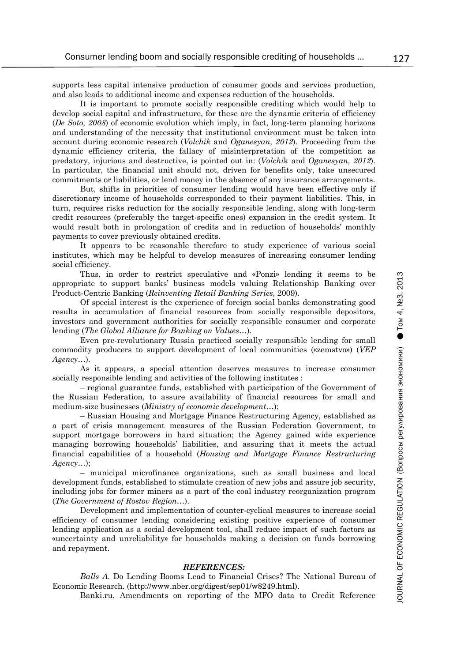supports less capital intensive production of consumer goods and services production, and also leads to additional income and expenses reduction of the households.

It is important to promote socially responsible crediting which would help to develop social capital and infrastructure, for these are the dynamic criteria of efficiency (*De Soto, 2008*) of economic evolution which imply, in fact, long-term planning horizons and understanding of the necessity that institutional environment must be taken into account during economic research (*Volchik* and *Oganesyan, 2012*). Proceeding from the dynamic efficiency criteria, the fallacy of misinterpretation of the competition as predatory, injurious and destructive, is pointed out in: (*Volchi*k and *Oganesyan, 2012*). In particular, the financial unit should not, driven for benefits only, take unsecured commitments or liabilities, or lend money in the absence of any insurance arrangements.

But, shifts in priorities of consumer lending would have been effective only if discretionary income of households corresponded to their payment liabilities. This, in turn, requires risks reduction for the socially responsible lending, along with long-term credit resources (preferably the target-specific ones) expansion in the credit system. It would result both in prolongation of credits and in reduction of households' monthly payments to cover previously obtained credits.

It appears to be reasonable therefore to study experience of various social institutes, which may be helpful to develop measures of increasing consumer lending social efficiency.

Thus, in order to restrict speculative and «Ponzi» lending it seems to be appropriate to support banks' business models valuing Relationship Banking over Product-Centric Banking (*Reinventing Retail Banking Series,* 2009).

Of special interest is the experience of foreign social banks demonstrating good results in accumulation of financial resources from socially responsible depositors, investors and government authorities for socially responsible consumer and corporate lending (*The Global Alliance for Banking on Values…*).

Even pre-revolutionary Russia practiced socially responsible lending for small commodity producers to support development of local communities («zemstvo») (*VEP Agency…*).

As it appears, a special attention deserves measures to increase consumer socially responsible lending and activities of the following institutes :

– regional guarantee funds, established with participation of the Government of the Russian Federation, to assure availability of financial resources for small and medium-size businesses (*Ministry of economic development…*);

– Russian Housing and Mortgage Finance Restructuring Agency, established as a part of crisis management measures of the Russian Federation Government, to support mortgage borrowers in hard situation; the Agency gained wide experience managing borrowing households' liabilities, and assuring that it meets the actual financial capabilities of a household (*Housing and Mortgage Finance Restructuring Agency…*);

– municipal microfinance organizations, such as small business and local development funds, established to stimulate creation of new jobs and assure job security, including jobs for former miners as a part of the coal industry reorganization program (*The Government of Rostov Region…*).

Development and implementation of counter-cyclical measures to increase social efficiency of consumer lending considering existing positive experience of consumer lending application as a social development tool, shall reduce impact of such factors as «uncertainty and unreliability» for households making a decision on funds borrowing and repayment.

## *REFERENCES:*

*Balls A.* Do Lending Booms Lead to Financial Crises? The National Bureau of Economic Research. (http://www.nber.org/digest/sep01/w8249.html).

Banki.ru. Amendments on reporting of the MFO data to Credit Reference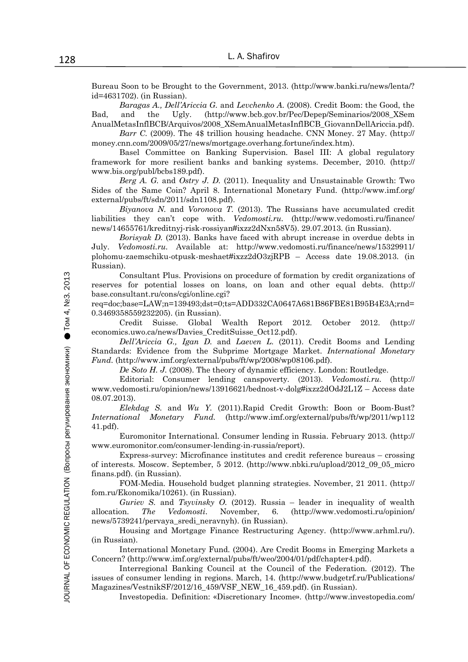Bureau Soon to be Brought to the Government, 2013. (http://www.banki.ru/news/lenta/? id=4631702). (in Russian).

*Baragas A., Dell'Ariccia G.* and *Levchenko A.* (2008). Credit Boom: the Good, the Bad, and the Ugly. (http://www.bcb.gov.br/Pec/Depep/Seminarios/2008\_XSem AnualMetasInflBCB/Arquivos/2008\_XSemAnualMetasInflBCB\_GiovannDellAriccia.pdf).

*Barr C.* (2009). The 4\$ trillion housing headache. CNN Money. 27 May. (http:// money.cnn.com/2009/05/27/news/mortgage.overhang.fortune/index.htm).

Basel Committee on Banking Supervision*.* Basel III: A global regulatory framework for more resilient banks and banking systems. December, 2010. (http:// www.bis.org/publ/bcbs189.pdf).

*Berg A. G.* and *Ostry J. D.* (2011). Inequality and Unsustainable Growth: Two Sides of the Same Coin? April 8. International Monetary Fund. (http://www.imf.org/ external/pubs/ft/sdn/2011/sdn1108.pdf).

*Biyanova N.* and *Voronova T.* (2013). The Russians have accumulated credit liabilities they can't cope with. *Vedomosti.ru.* (http://www.vedomosti.ru/finance/ news/14655761/kreditnyj-risk-rossiyan#ixzz2dNxn58V5). 29.07.2013. (in Russian).

*Borisyak D.* (2013). Banks have faced with abrupt increase in overdue debts in July. *Vedomosti.ru.* Available at: http://www.vedomosti.ru/finance/news/15329911/ plohomu-zaemschiku-otpusk-meshaet#ixzz2dO3zjRPB – Access date 19.08.2013. (in Russian).

Consultant Plus. Provisions on procedure of formation by credit organizations of reserves for potential losses on loans, on loan and other equal debts. (http:// base.consultant.ru/cons/cgi/online.cgi?

req=doc;base=LAW;n=139493;dst=0;ts=ADD332CA0647A681B86FBE81B95B4E3A;rnd= 0.3469358559232205). (in Russian).

Credit Suisse. Global Wealth Report 2012*.* October 2012. (http:// economics.uwo.ca/news/Davies\_CreditSuisse\_Oct12.pdf).

*Dell'Ariccia G., Igan D.* and *Laeven L.* (2011). Credit Booms and Lending Standards: Evidence from the Subprime Mortgage Market. *International Monetary Fund.* (http://www.imf.org/external/pubs/ft/wp/2008/wp08106.pdf).

*De Soto H. J.* (2008). The theory of dynamic efficiency. London: Routledge.

Editorial: Consumer lending canspoverty*.* (2013). *Vedomosti.ru.* (http:// www.vedomosti.ru/opinion/news/13916621/bednost-v-dolg#ixzz2dOdJ2L1Z – Access date 08.07.2013).

*Elekdag S.* and *Wu Y.* (2011).Rapid Credit Growth: Boon or Boom-Bust? *International Monetary Fund.* (http://www.imf.org/external/pubs/ft/wp/2011/wp112 41.pdf).

Euromonitor International*.* Consumer lending in Russia. February 2013. (http:// www.euromonitor.com/consumer-lending-in-russia/report).

Express-survey: Microfinance institutes and credit reference bureaus – crossing of interests*.* Moscow. September, 5 2012. (http://www.nbki.ru/upload/2012\_09\_05\_micro finans.pdf). (in Russian).

FOM-Media*.* Household budget planning strategies. November, 21 2011. (http:// fom.ru/Ekonomika/10261). (in Russian).

*Guriev S.* and *Tsyvinsky O.* (2012). Russia – leader in inequality of wealth allocation. *The Vedomosti*. November, 6. (http://www.vedomosti.ru/opinion/ news/5739241/pervaya\_sredi\_neravnyh). (in Russian).

Housing and Mortgage Finance Restructuring Agency. (http://www.arhml.ru/). (in Russian).

International Monetary Fund*.* (2004). Are Credit Booms in Emerging Markets a Concern? (http://www.imf.org/external/pubs/ft/weo/2004/01/pdf/chapter4.pdf).

Interregional Banking Council at the Council of the Federation*.* (2012). The issues of consumer lending in regions. March, 14. (http://www.budgetrf.ru/Publications/ Magazines/VestnikSF/2012/16\_459/VSF\_NEW\_16\_459.pdf). (in Russian).

Investopedia. Definition: «Discretionary Income». (http://www.investopedia.com/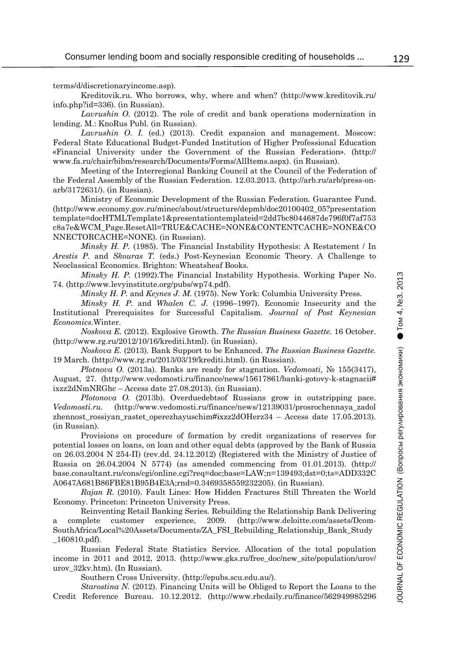terms/d/discretionaryincome.asp).

Kreditovik.ru. Who borrows, why, where and when? (http://www.kreditovik.ru/ info.php?id=336). (in Russian).

*Lavrushin O.* (2012). The role of credit and bank operations modernization in lending. M.: KnoRus Publ. (in Russian).

*Lavrushin O. I.* (ed.) (2013). Credit expansion and management. Moscow: Federal State Educational Budget-Funded Institution of Higher Professional Education «Financial University under the Government of the Russian Federation». (http:// www.fa.ru/chair/bibm/research/Documents/Forms/AllItems.aspx). (in Russian).

Meeting of the Interregional Banking Council at the Council of the Federation of the Federal Assembly of the Russian Federation. 12.03.2013. (http://arb.ru/arb/press-onarb/3172631/). (in Russian).

Ministry of Economic Development of the Russian Federation*.* Guarantee Fund. (http://www.economy.gov.ru/minec/about/structure/depmb/doc20100402\_05?presentation template=docHTMLTemplate1&presentationtemplateid=2dd7bc8044687de796f0f7af753 c8a7e&WCM\_Page.ResetAll=TRUE&CACHE=NONE&CONTENTCACHE=NONE&CO NNECTORCACHE=NONE). (in Russian).

*Minsky H. P.* (1985). The Financial Instability Hypothesis: A Restatement / In *Arestis P.* and *Skouras T.* (eds.) Post-Keynesian Economic Theory. A Challenge to Neoclassical Economics. Brighton: Wheatsheaf Books.

*Minsky H. P.* (1992).The Financial Instability Hypothesis. Working Paper No. 74. (http://www.levyinstitute.org/pubs/wp74.pdf).

*Minsky H. P.* and *Keynes J. M.* (1975). New York: Columbia University Press.

*Minsky H. P.* and *Whalen C. J.* (1996–1997). Economic Insecurity and the Institutional Prerequisites for Successful Capitalism. *Journal of Post Keynesian Economics*.Winter.

*Noskova E.* (2012). Explosive Growth. *The Russian Business Gazette.* 16 October. (http://www.rg.ru/2012/10/16/krediti.html). (in Russian).

*Noskova E.* (2013). Bank Support to be Enhanced. *The Russian Business Gazette.* 19 March. (http://www.rg.ru/2013/03/19/krediti.html). (in Russian).

*Plotnova О.* (2013a). Banks are ready for stagnation. *Vedomosti,* № 155(3417), August, 27. (http://www.vedomosti.ru/finance/news/15617861/banki-gotovy-k-stagnacii# ixzz2dNmNRGhc – Access date 27.08.2013). (in Russian).

*Plotonova O.* (2013b). Overduedebtsof Russians grow in outstripping pace. *Vedomosti.ru.* (http://www.vedomosti.ru/finance/news/12139031/prosrochennaya\_zadol zhennost\_rossiyan\_rastet\_operezhayuschim#ixzz2dOHerz34 – Access date 17.05.2013). (in Russian).

Provisions on procedure of formation by credit organizations of reserves for potential losses on loans, on loan and other equal debts (approved by the Bank of Russia on 26.03.2004 N 254-П) (rev.dd. 24.12.2012) (Registered with the Ministry of Justice of Russia on 26.04.2004 N 5774) (as amended commencing from 01.01.2013). (http:// base.consultant.ru/cons/cgi/online.cgi?req=doc;base=LAW;n=139493;dst=0;ts=ADD332C A0647A681B86FBE81B95B4E3A;rnd=0.3469358559232205). (in Russian).

*Rajan R.* (2010). Fault Lines: How Hidden Fractures Still Threaten the World Economy. Princeton: Princeton University Press.

Reinventing Retail Banking Series*.* Rebuilding the Relationship Bank Delivering a complete customer experience, 2009. (http://www.deloitte.com/assets/Dcom-SouthAfrica/Local%20Assets/Documents/ZA\_FSI\_Rebuilding\_Relationship\_Bank\_Study \_160810.pdf).

Russian Federal State Statistics Service*.* Allocation of the total population income in 2011 and 2012, 2013. (http://www.gks.ru/free\_doc/new\_site/population/urov/ urov\_32kv.htm). (In Russian).

Southern Cross University. (http://epubs.scu.edu.au/).

*Starostina N.* (2012). Financing Units will be Obliged to Report the Loans to the Credit Reference Bureau. 10.12.2012. (http://www.rbcdaily.ru/finance/562949985296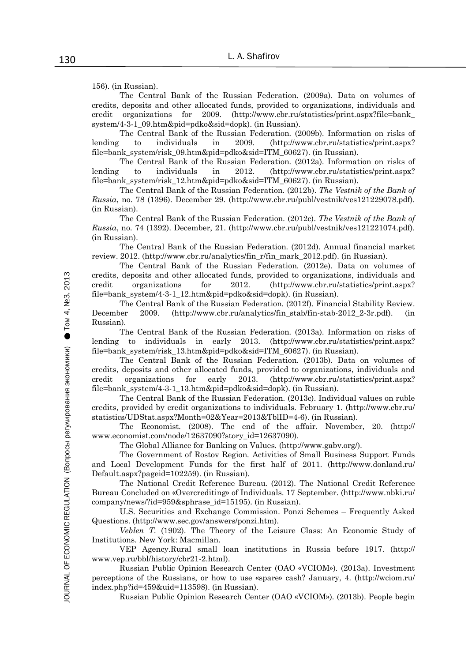156). (in Russian).

The Central Bank of the Russian Federation*.* (2009a). Data on volumes of credits, deposits and other allocated funds, provided to organizations, individuals and credit organizations for 2009. (http://www.cbr.ru/statistics/print.aspx?file=bank\_ system/4-3-1\_09.htm&pid=pdko&sid=dopk). (in Russian).

The Central Bank of the Russian Federation*.* (2009b). Information on risks of lending to individuals in 2009. (http://www.cbr.ru/statistics/print.aspx? file=bank\_system/risk\_09.htm&pid=pdko&sid=ITM\_60627). (in Russian).

The Central Bank of the Russian Federation*.* (2012a). Information on risks of lending to individuals in 2012. (http://www.cbr.ru/statistics/print.aspx? file=bank system/risk 12.htm&pid=pdko&sid=ITM 60627). (in Russian).

The Central Bank of the Russian Federation*.* (2012b). *The Vestnik of the Bank of Russia*, no. 78 (1396). December 29. (http://www.cbr.ru/publ/vestnik/ves121229078.pdf). (in Russian).

The Central Bank of the Russian Federation*.* (2012c). *The Vestnik of the Bank of Russia*, no. 74 (1392). December, 21. (http://www.cbr.ru/publ/vestnik/ves121221074.pdf). (in Russian).

The Central Bank of the Russian Federation*.* (2012d). Annual financial market review. 2012. (http://www.cbr.ru/analytics/fin\_r/fin\_mark\_2012.pdf). (in Russian).

The Central Bank of the Russian Federation*.* (2012e). Data on volumes of credits, deposits and other allocated funds, provided to organizations, individuals and credit organizations for 2012. (http://www.cbr.ru/statistics/print.aspx? file=bank\_system/4-3-1\_12.htm&pid=pdko&sid=dopk). (in Russian).

The Central Bank of the Russian Federation*.* (2012f). Financial Stability Review. December 2009. (http://www.cbr.ru/analytics/fin\_stab/fin-stab-2012\_2-3r.pdf). (in Russian).

The Central Bank of the Russian Federation*.* (2013a). Information on risks of lending to individuals in early 2013. (http://www.cbr.ru/statistics/print.aspx? file=bank\_system/risk\_13.htm&pid=pdko&sid=ITM\_60627). (in Russian).

The Central Bank of the Russian Federation*.* (2013b). Data on volumes of credits, deposits and other allocated funds, provided to organizations, individuals and credit organizations for early 2013. (http://www.cbr.ru/statistics/print.aspx? file=bank\_system/4-3-1\_13.htm&pid=pdko&sid=dopk). (in Russian).

The Central Bank of the Russian Federation*.* (2013c). Individual values on ruble credits, provided by credit organizations to individuals. February 1. (http://www.cbr.ru/ statistics/UDStat.aspx?Month=02&Year=2013&TblID=4-6). (in Russian).

The Economist*.* (2008). The end of the affair. November, 20. (http:// www.economist.com/node/12637090?story\_id=12637090).

The Global Alliance for Banking on Values*.* (http://www.gabv.org/).

The Government of Rostov Region*.* Activities of Small Business Support Funds and Local Development Funds for the first half of 2011. (http://www.donland.ru/ Default.aspx?pageid=102259). (in Russian).

The National Credit Reference Bureau*.* (2012). The National Credit Reference Bureau Concluded on «Overcrediting» of Individuals. 17 September. (http://www.nbki.ru/ company/news/?id=959&sphrase\_id=15195). (in Russian).

U.S. Securities and Exchange Commission. Ponzi Schemes – Frequently Asked Questions. (http://www.sec.gov/answers/ponzi.htm).

*Veblen T.* (1902). The Theory of the Leisure Class: An Economic Study of Institutions. New York: Macmillan.

VEP Agency.Rural small loan institutions in Russia before 1917. (http:// www.vep.ru/bbl/history/cbr21-2.html).

Russian Public Opinion Research Center (OAO «VCIOM»)*.* (2013a). Investment perceptions of the Russians, or how to use «spare» cash? January, 4. (http://wciom.ru/ index.php?id=459&uid=113598). (in Russian).

Russian Public Opinion Research Center (OAO «VCIOM»)*.* (2013b). People begin